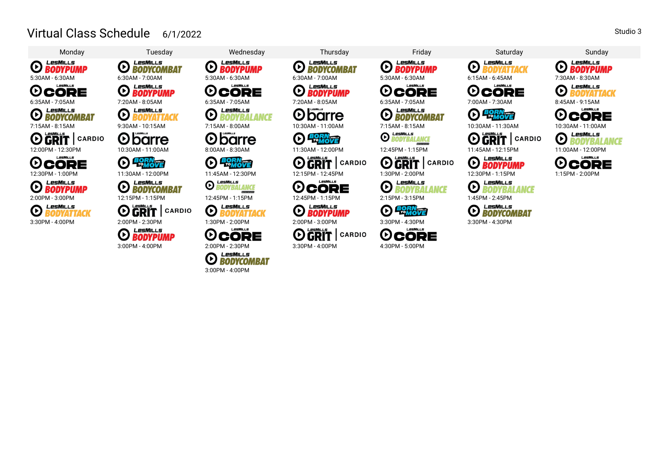## Virtual Class Schedule 6/1/2022



LesMills

**EXPLORE BODYPUMP** 

LesMills  $\boldsymbol{\Theta}$ **BODYCOMBAT** 5:30AM - 6:30AM 6:30AM - 7:00AM 5:30AM - 6:30AM 6:30AM - 7:00AM 5:30AM -6:30AM 6:15AM -6:45AM 7:30AM -8:30AM LesMills

**O** BODYPUMP

LesMills  $\overline{\Theta}$ **BODYATTACK** l *I poli*ti i s



**D BORN** 

LesMills **O** BODYCOMBAT

**OGRIT** CARDIO

**O BODYPUMP** 

LesMills  $\odot$ **BODYBALANCE** 

LesMills

LesMiLLs

**ED BODYPUMP** 

**OCORE** 





**O BODYBALANCE** 

**O BODYATTACK** 3:30PM - 4:00PM 2:00PM - 2:30PM 1:30PM - 2:00PM 2:00PM - 3:00PM 3:30PM - 4:30PM 3:30PM - 4:30PM

LesMuls **OCORE** 



LesMills **ED** BODYCOMBAT

LesMills **O** BODYPUMP

 $\boldsymbol{\Theta}$ barre

**D BORN** 

**O GRIT** | CARDIO

 $I = MII I =$ **OCORE** 

*O BODYPUMP* 

**OGRIT** | CARDIO

3:00PM - 4:00PM 2:00PM - 2:30PM 3:30PM - 4:00PM 4:30PM - 5:00PM

LesMills  $\Theta$  **BODYPUMP** 

LesMiLLs **OCORE** 

LesMills **ED BODYCOMBAT** 

**O BODYBALANCE** 

**OGRIT** CARDIO

**O BODYBALANCE** 

**D PORNTE** 

LesMiLLs **OCORE** 



 $L$  psMu  $L$  s **OCORE** 



**O GRIT** CARDIO



**O BODYBALANCE** 

**O BODYCOMBAT** 

LesMills



LesMills **O** BODYATTACK



LesMills  $\bm{\Theta}$ **BODYBALANCE** 



Studio 3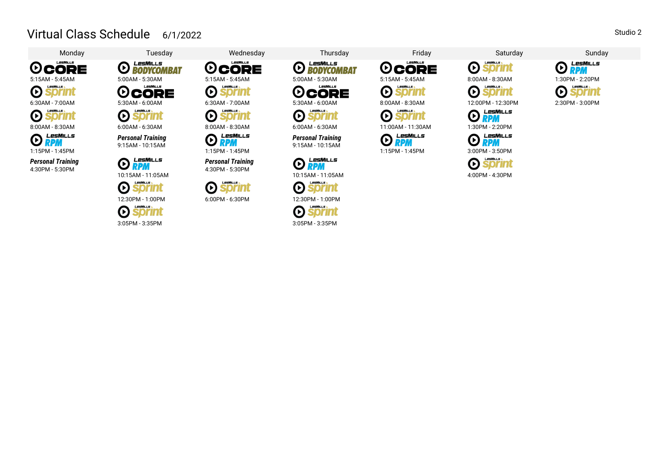## Virtual Class Schedule 6/1/2022

 $\boldsymbol{\Theta}$ 

 $\boldsymbol{\Theta}$ 

 $\bm{\mathsf{\Theta}}$ 

Œ CORE  $\bm{\Theta}$ Sprint  $\odot$ ozn 8:00AM - 8:30AM 6:00AM - 6:30AM 8:00AM - 8:30AM 6:00AM - 6:30AM 11:00AM -11:30AM 1:30PM - 2:20PM LesMills  $\bm{\Theta}$ **RPM** 

LesMiLLs

1:15PM - 1:45PM

*Personal Training* 4:30PM - 5:30PM



**LesMiLLs**  $\boldsymbol{\Theta}$ **Sprint** 

*Personal Training* 9:15AM - 10:15AM

**RPM** 

LesMills

LesMills

Sprint

LesMills

Monday Tuesday Wednesday Thursday Friday Saturday Sunday LesMiLLs  $\boldsymbol{\Theta}$ CORE **BODYCOMBAT** 5:15AM - 5:45AM 5:00AM - 5:30AM 5:15AM - 5:45AM 5:00AM - 5:30AM 5:15AM -5:45AM 8:00AM -8:30AM 1:30PM -2:20PM  $\bm{\Theta}$ **OCORE sprint** 6:30AM - 7:00AM 5:30AM - 6:00AM 6:30AM - 7:00AM 5:30AM - 6:00AM 8:00AM -8:30AM 12:00PM -12:30PM 2:30PM -3:00PM  $\odot$ Sprint

LesMills  $\bm{\Theta}$ RPM



**LesMILLs**  $\odot$ *Sprint* 



LesMills  $\bm{\Theta}$ **BODYCOMBAT** LesMiLLs  $\boldsymbol{\Theta}$ 

*Personal Training* 9:15AM - 10:15AM

**RPM** 

**LesMILLS** 

**LesMills** 

**sprint** 

*Sprint* 

**sprint** 

LesMills

 $\odot$ 

 $\bm{\Theta}$ 

 $\boldsymbol{\Theta}$ 

 $\bm{\Theta}$ 

 $\bm{\Theta}$ CORE

> $\odot$ sormu

 $\boldsymbol{\Theta}$ 

 $\odot$ LesMills RPM

LesMiLLs

sprint

1:15PM - 1:45PM 3:00PM - 3:50PM

10:15AM -11:05AM 4:00PM - 4:30PM



 $\boldsymbol{\Theta}$ CORE

**sprint** 

**Jorinu** 



**RPM** 

**LPSMILLS** 

**Sprint** 

 $\bm{\Theta}$ 

 $\boldsymbol{\Theta}$ 





LesMills







LesMills

Studio 2